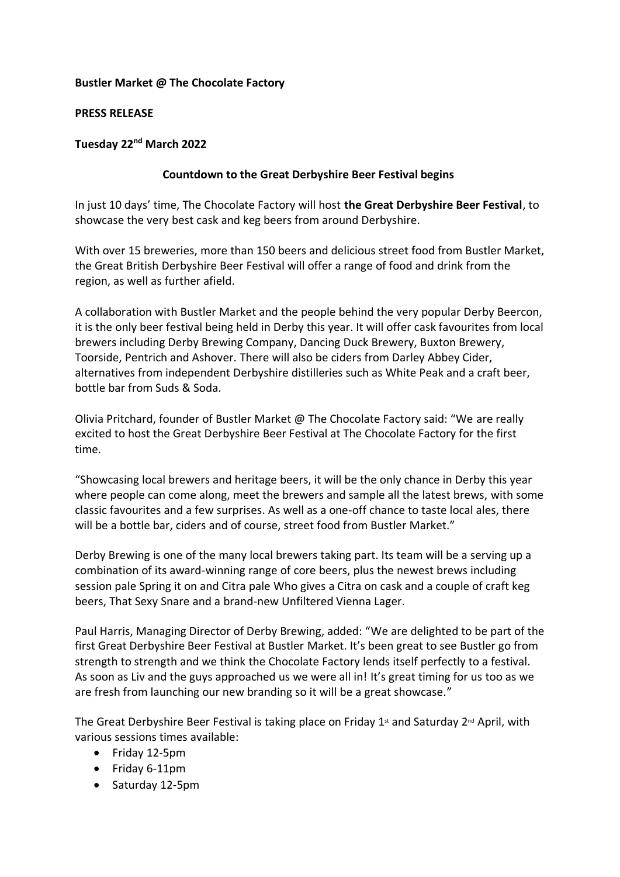# **Bustler Market @ The Chocolate Factory**

### **PRESS RELEASE**

# **Tuesday 22nd March 2022**

# **Countdown to the Great Derbyshire Beer Festival begins**

In just 10 days' time, The Chocolate Factory will host **the Great Derbyshire Beer Festival**, to showcase the very best cask and keg beers from around Derbyshire.

With over 15 breweries, more than 150 beers and delicious street food from Bustler Market, the Great British Derbyshire Beer Festival will offer a range of food and drink from the region, as well as further afield.

A collaboration with Bustler Market and the people behind the very popular Derby Beercon, it is the only beer festival being held in Derby this year. It will offer cask favourites from local brewers including Derby Brewing Company, Dancing Duck Brewery, Buxton Brewery, Toorside, Pentrich and Ashover. There will also be ciders from Darley Abbey Cider, alternatives from independent Derbyshire distilleries such as White Peak and a craft beer, bottle bar from Suds & Soda.

Olivia Pritchard, founder of Bustler Market @ The Chocolate Factory said: "We are really excited to host the Great Derbyshire Beer Festival at The Chocolate Factory for the first time.

"Showcasing local brewers and heritage beers, it will be the only chance in Derby this year where people can come along, meet the brewers and sample all the latest brews, with some classic favourites and a few surprises. As well as a one-off chance to taste local ales, there will be a bottle bar, ciders and of course, street food from Bustler Market."

Derby Brewing is one of the many local brewers taking part. Its team will be a serving up a combination of its award-winning range of core beers, plus the newest brews including session pale Spring it on and Citra pale Who gives a Citra on cask and a couple of craft keg beers, That Sexy Snare and a brand-new Unfiltered Vienna Lager.

Paul Harris, Managing Director of Derby Brewing, added: "We are delighted to be part of the first Great Derbyshire Beer Festival at Bustler Market. It's been great to see Bustler go from strength to strength and we think the Chocolate Factory lends itself perfectly to a festival. As soon as Liv and the guys approached us we were all in! It's great timing for us too as we are fresh from launching our new branding so it will be a great showcase."

The Great Derbyshire Beer Festival is taking place on Friday 1<sup>st</sup> and Saturday 2<sup>nd</sup> April, with various sessions times available:

- Friday 12-5pm
- Friday 6-11pm
- Saturday 12-5pm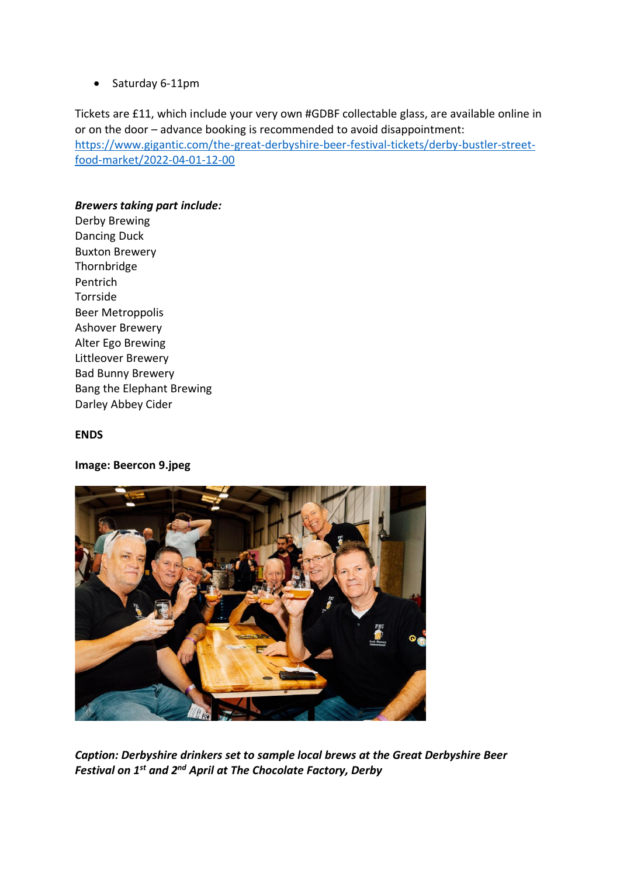• Saturday 6-11pm

Tickets are £11, which include your very own #GDBF collectable glass, are available online in or on the door – advance booking is recommended to avoid disappointment: [https://www.gigantic.com/the-great-derbyshire-beer-festival-tickets/derby-bustler-street](https://www.gigantic.com/the-great-derbyshire-beer-festival-tickets/derby-bustler-street-food-market/2022-04-01-12-00)[food-market/2022-04-01-12-00](https://www.gigantic.com/the-great-derbyshire-beer-festival-tickets/derby-bustler-street-food-market/2022-04-01-12-00)

# *Brewers taking part include:*

Derby Brewing Dancing Duck Buxton Brewery Thornbridge Pentrich Torrside Beer Metroppolis Ashover Brewery Alter Ego Brewing Littleover Brewery Bad Bunny Brewery Bang the Elephant Brewing Darley Abbey Cider

### **ENDS**

### **Image: Beercon 9.jpeg**



*Caption: Derbyshire drinkers set to sample local brews at the Great Derbyshire Beer Festival on 1st and 2nd April at The Chocolate Factory, Derby*